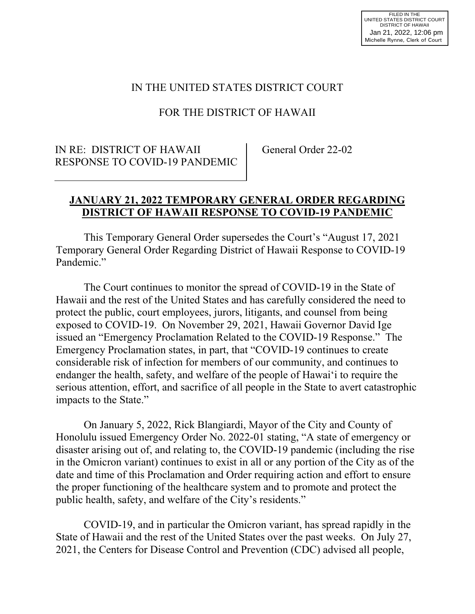### IN THE UNITED STATES DISTRICT COURT

## FOR THE DISTRICT OF HAWAII

### IN RE: DISTRICT OF HAWAII RESPONSE TO COVID-19 PANDEMIC

General Order 22-02

#### **JANUARY 21, 2022 TEMPORARY GENERAL ORDER REGARDING DISTRICT OF HAWAII RESPONSE TO COVID-19 PANDEMIC**

 This Temporary General Order supersedes the Court's "August 17, 2021 Temporary General Order Regarding District of Hawaii Response to COVID-19 Pandemic."

 The Court continues to monitor the spread of COVID-19 in the State of Hawaii and the rest of the United States and has carefully considered the need to protect the public, court employees, jurors, litigants, and counsel from being exposed to COVID-19. On November 29, 2021, Hawaii Governor David Ige issued an "Emergency Proclamation Related to the COVID-19 Response." The Emergency Proclamation states, in part, that "COVID-19 continues to create considerable risk of infection for members of our community, and continues to endanger the health, safety, and welfare of the people of Hawai'i to require the serious attention, effort, and sacrifice of all people in the State to avert catastrophic impacts to the State."

On January 5, 2022, Rick Blangiardi, Mayor of the City and County of Honolulu issued Emergency Order No. 2022-01 stating, "A state of emergency or disaster arising out of, and relating to, the COVID-19 pandemic (including the rise in the Omicron variant) continues to exist in all or any portion of the City as of the date and time of this Proclamation and Order requiring action and effort to ensure the proper functioning of the healthcare system and to promote and protect the public health, safety, and welfare of the City's residents."

 COVID-19, and in particular the Omicron variant, has spread rapidly in the State of Hawaii and the rest of the United States over the past weeks. On July 27, 2021, the Centers for Disease Control and Prevention (CDC) advised all people,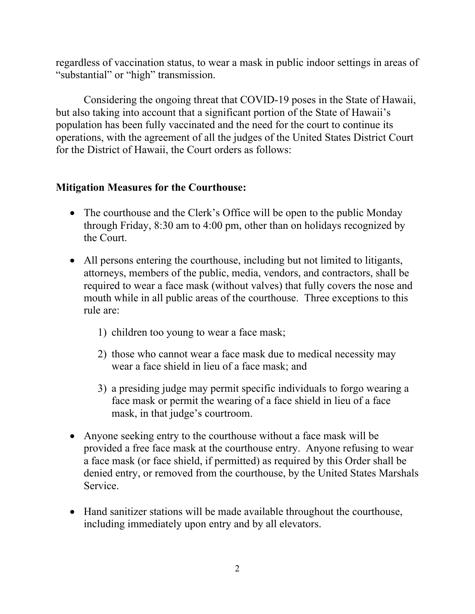regardless of vaccination status, to wear a mask in public indoor settings in areas of "substantial" or "high" transmission.

 Considering the ongoing threat that COVID-19 poses in the State of Hawaii, but also taking into account that a significant portion of the State of Hawaii's population has been fully vaccinated and the need for the court to continue its operations, with the agreement of all the judges of the United States District Court for the District of Hawaii, the Court orders as follows:

## **Mitigation Measures for the Courthouse:**

- The courthouse and the Clerk's Office will be open to the public Monday through Friday, 8:30 am to 4:00 pm, other than on holidays recognized by the Court.
- All persons entering the courthouse, including but not limited to litigants, attorneys, members of the public, media, vendors, and contractors, shall be required to wear a face mask (without valves) that fully covers the nose and mouth while in all public areas of the courthouse. Three exceptions to this rule are:
	- 1) children too young to wear a face mask;
	- 2) those who cannot wear a face mask due to medical necessity may wear a face shield in lieu of a face mask; and
	- 3) a presiding judge may permit specific individuals to forgo wearing a face mask or permit the wearing of a face shield in lieu of a face mask, in that judge's courtroom.
- Anyone seeking entry to the courthouse without a face mask will be provided a free face mask at the courthouse entry. Anyone refusing to wear a face mask (or face shield, if permitted) as required by this Order shall be denied entry, or removed from the courthouse, by the United States Marshals Service.
- Hand sanitizer stations will be made available throughout the courthouse, including immediately upon entry and by all elevators.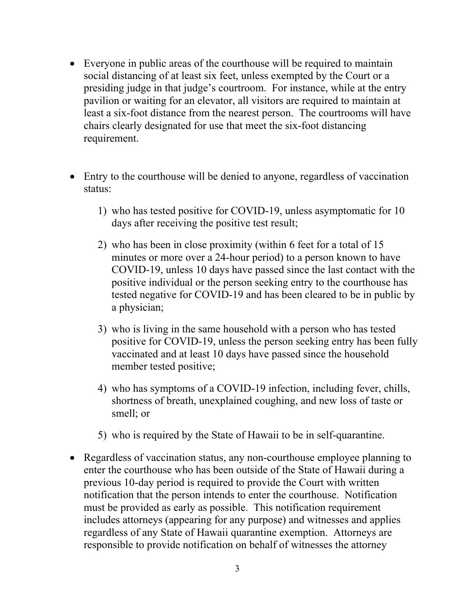- Everyone in public areas of the courthouse will be required to maintain social distancing of at least six feet, unless exempted by the Court or a presiding judge in that judge's courtroom. For instance, while at the entry pavilion or waiting for an elevator, all visitors are required to maintain at least a six-foot distance from the nearest person. The courtrooms will have chairs clearly designated for use that meet the six-foot distancing requirement.
- Entry to the courthouse will be denied to anyone, regardless of vaccination status:
	- 1) who has tested positive for COVID-19, unless asymptomatic for 10 days after receiving the positive test result;
	- 2) who has been in close proximity (within 6 feet for a total of 15 minutes or more over a 24-hour period) to a person known to have COVID-19, unless 10 days have passed since the last contact with the positive individual or the person seeking entry to the courthouse has tested negative for COVID-19 and has been cleared to be in public by a physician;
	- 3) who is living in the same household with a person who has tested positive for COVID-19, unless the person seeking entry has been fully vaccinated and at least 10 days have passed since the household member tested positive;
	- 4) who has symptoms of a COVID-19 infection, including fever, chills, shortness of breath, unexplained coughing, and new loss of taste or smell; or
	- 5) who is required by the State of Hawaii to be in self-quarantine.
- Regardless of vaccination status, any non-courthouse employee planning to enter the courthouse who has been outside of the State of Hawaii during a previous 10-day period is required to provide the Court with written notification that the person intends to enter the courthouse. Notification must be provided as early as possible. This notification requirement includes attorneys (appearing for any purpose) and witnesses and applies regardless of any State of Hawaii quarantine exemption. Attorneys are responsible to provide notification on behalf of witnesses the attorney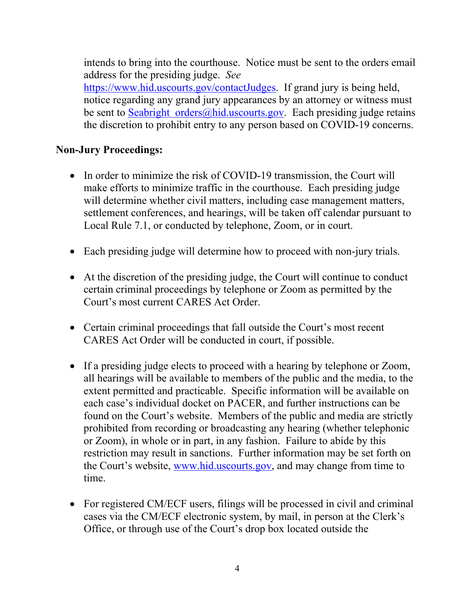intends to bring into the courthouse. Notice must be sent to the orders email address for the presiding judge. *See* https://www.hid.uscourts.gov/contactJudges. If grand jury is being held,

notice regarding any grand jury appearances by an attorney or witness must be sent to Seabright orders@hid.uscourts.gov. Each presiding judge retains the discretion to prohibit entry to any person based on COVID-19 concerns.

## **Non-Jury Proceedings:**

- In order to minimize the risk of COVID-19 transmission, the Court will make efforts to minimize traffic in the courthouse. Each presiding judge will determine whether civil matters, including case management matters, settlement conferences, and hearings, will be taken off calendar pursuant to Local Rule 7.1, or conducted by telephone, Zoom, or in court.
- Each presiding judge will determine how to proceed with non-jury trials.
- At the discretion of the presiding judge, the Court will continue to conduct certain criminal proceedings by telephone or Zoom as permitted by the Court's most current CARES Act Order.
- Certain criminal proceedings that fall outside the Court's most recent CARES Act Order will be conducted in court, if possible.
- If a presiding judge elects to proceed with a hearing by telephone or Zoom, all hearings will be available to members of the public and the media, to the extent permitted and practicable. Specific information will be available on each case's individual docket on PACER, and further instructions can be found on the Court's website. Members of the public and media are strictly prohibited from recording or broadcasting any hearing (whether telephonic or Zoom), in whole or in part, in any fashion. Failure to abide by this restriction may result in sanctions. Further information may be set forth on the Court's website, www.hid.uscourts.gov, and may change from time to time.
- For registered CM/ECF users, filings will be processed in civil and criminal cases via the CM/ECF electronic system, by mail, in person at the Clerk's Office, or through use of the Court's drop box located outside the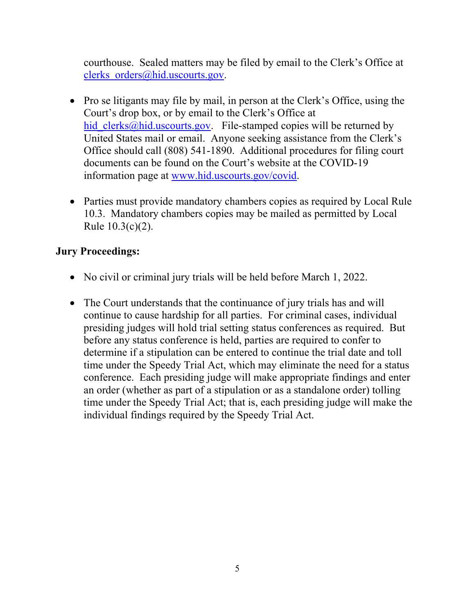courthouse. Sealed matters may be filed by email to the Clerk's Office at clerks orders@hid.uscourts.gov.

- Pro se litigants may file by mail, in person at the Clerk's Office, using the Court's drop box, or by email to the Clerk's Office at hid clerks@hid.uscourts.gov. File-stamped copies will be returned by United States mail or email. Anyone seeking assistance from the Clerk's Office should call (808) 541-1890. Additional procedures for filing court documents can be found on the Court's website at the COVID-19 information page at www.hid.uscourts.gov/covid.
- Parties must provide mandatory chambers copies as required by Local Rule 10.3. Mandatory chambers copies may be mailed as permitted by Local Rule 10.3(c)(2).

# **Jury Proceedings:**

- No civil or criminal jury trials will be held before March 1, 2022.
- The Court understands that the continuance of jury trials has and will continue to cause hardship for all parties. For criminal cases, individual presiding judges will hold trial setting status conferences as required. But before any status conference is held, parties are required to confer to determine if a stipulation can be entered to continue the trial date and toll time under the Speedy Trial Act, which may eliminate the need for a status conference. Each presiding judge will make appropriate findings and enter an order (whether as part of a stipulation or as a standalone order) tolling time under the Speedy Trial Act; that is, each presiding judge will make the individual findings required by the Speedy Trial Act.